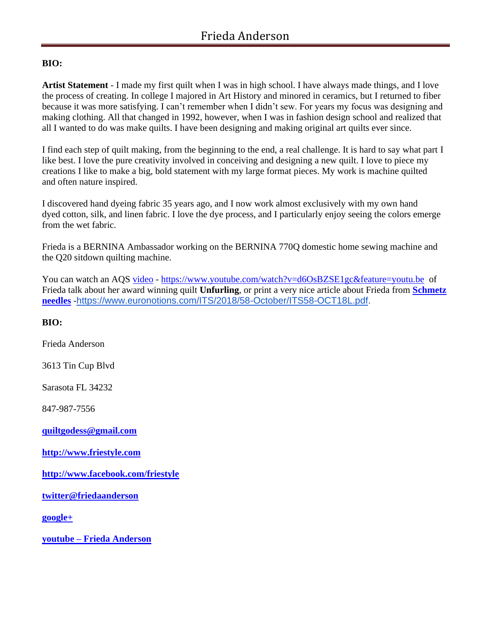# **BIO:**

**Artist Statement** - I made my first quilt when I was in high school. I have always made things, and I love the process of creating. In college I majored in Art History and minored in ceramics, but I returned to fiber because it was more satisfying. I can't remember when I didn't sew. For years my focus was designing and making clothing. All that changed in 1992, however, when I was in fashion design school and realized that all I wanted to do was make quilts. I have been designing and making original art quilts ever since.

I find each step of quilt making, from the beginning to the end, a real challenge. It is hard to say what part I like best. I love the pure creativity involved in conceiving and designing a new quilt. I love to piece my creations I like to make a big, bold statement with my large format pieces. My work is machine quilted and often nature inspired.

I discovered hand dyeing fabric 35 years ago, and I now work almost exclusively with my own hand dyed cotton, silk, and linen fabric. I love the dye process, and I particularly enjoy seeing the colors emerge from the wet fabric.

Frieda is a BERNINA Ambassador working on the BERNINA 770Q domestic home sewing machine and the Q20 sitdown quilting machine.

You can watch an AQS [video](https://www.youtube.com/watch?v=d6OsBZSE1gc&feature=youtu.be) - <https://www.youtube.com/watch?v=d6OsBZSE1gc&feature=youtu.be>of Frieda talk about her award winning quilt **Unfurling**, or print a very nice article about Frieda from **[Schmetz](https://www.euronotions.com/ITS/2018/58-October/ITS58-OCT18L.pdf.)  [needles](https://www.euronotions.com/ITS/2018/58-October/ITS58-OCT18L.pdf.)** -[https://www.euronotions.com/ITS/2018/58-October/ITS58-OCT18L.pdf.](http://r20.rs6.net/tn.jsp?f=001Ql6Yv0L9LSCTHaRzzeM4LILxGU9dn27fJJTNsRaBDUvmzGQ0CSViaWBAo_hqtKvWaTRxgxFS6dvE3yzwHuP7zAF5fez1qDM7bJwdGN4SIXBdAySaiqtP5lI8bj3skrelQ9Gq2XjpmrK5qupyx5Q_bL2SN6aTH_JzjqsVH4Z1VxOgiP5EIQPtmzfKseq1VP2pKIwMp39uIKx21x2QNC_fxtD_0cUdit2H3SKe82PM70s=&c=9D79nI9CV9JOVRSGynyhXgWubCTMFfGo9hXPFRJyn4lz_2TY7Iiu8g==&ch=RKdzBUAa8o8x_MnDq_7cc4R4fgVEpWvZaWmzcNWx4IaCF8vOoxlfyA==)

**BIO:**

Frieda Anderson

3613 Tin Cup Blvd

Sarasota FL 34232

847-987-7556

**[quiltgodess@gmail.com](mailto:quiltgodess@gmail.com)**

**[http://www.friestyle.com](http://www.friestyle.com/)**

**<http://www.facebook.com/friestyle>**

**[twitter@friedaanderson](https://plus.google.com/113471267074680252319/posts)**

**[google+](https://plus.google.com/113471267074680252319/posts)**

**youtube – [Frieda Anderson](https://www.youtube.com/user/FrieStyle54)**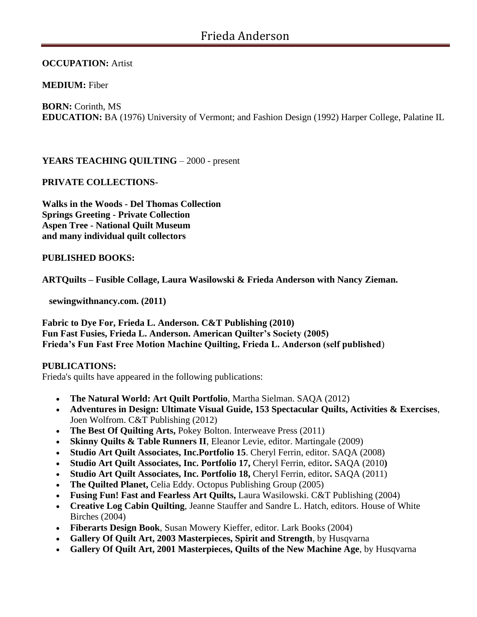**OCCUPATION:** Artist

**MEDIUM:** Fiber

**BORN:** Corinth, MS **EDUCATION:** BA (1976) University of Vermont; and Fashion Design (1992) Harper College, Palatine IL

# **YEARS TEACHING QUILTING** – 2000 - present

# **PRIVATE COLLECTIONS-**

**Walks in the Woods - Del Thomas Collection Springs Greeting - Private Collection Aspen Tree - National Quilt Museum and many individual quilt collectors**

# **PUBLISHED BOOKS:**

**ARTQuilts – Fusible Collage, Laura Wasilowski & Frieda Anderson with Nancy Zieman.**

 **sewingwithnancy.com. (2011)** 

**Fabric to Dye For, Frieda L. Anderson. C&T Publishing (2010) Fun Fast Fusies, Frieda L. Anderson. American Quilter's Society (2005) Frieda's Fun Fast Free Motion Machine Quilting, Frieda L. Anderson (self published**)

# **PUBLICATIONS:**

Frieda's quilts have appeared in the following publications:

- **The Natural World: Art Quilt Portfolio**, Martha Sielman. SAQA (2012)
- **Adventures in Design: Ultimate Visual Guide, 153 Spectacular Quilts, Activities & Exercises**, Joen Wolfrom. C&T Publishing (2012)
- **The Best Of Quilting Arts,** Pokey Bolton. Interweave Press (2011)
- **Skinny Quilts & Table Runners II**, Eleanor Levie, editor. Martingale (2009)
- **Studio Art Quilt Associates, Inc.Portfolio 15**. Cheryl Ferrin, editor. SAQA (2008)
- **Studio Art Quilt Associates, Inc. Portfolio 17, Cheryl Ferrin, editor. SAQA (2010)**
- **Studio Art Quilt Associates, Inc. Portfolio 18, Cheryl Ferrin, editor. SAQA (2011)**
- **The Quilted Planet,** Celia Eddy. Octopus Publishing Group (2005)
- **Fusing Fun! Fast and Fearless Art Quilts,** Laura Wasilowski. C&T Publishing (2004)
- **Creative Log Cabin Quilting**, Jeanne Stauffer and Sandre L. Hatch, editors. House of White Birches (2004)
- **Fiberarts Design Book**, Susan Mowery Kieffer, editor. Lark Books (2004)
- **Gallery Of Quilt Art, 2003 Masterpieces, Spirit and Strength**, by Husqvarna
- **Gallery Of Quilt Art, 2001 Masterpieces, Quilts of the New Machine Age**, by Husqvarna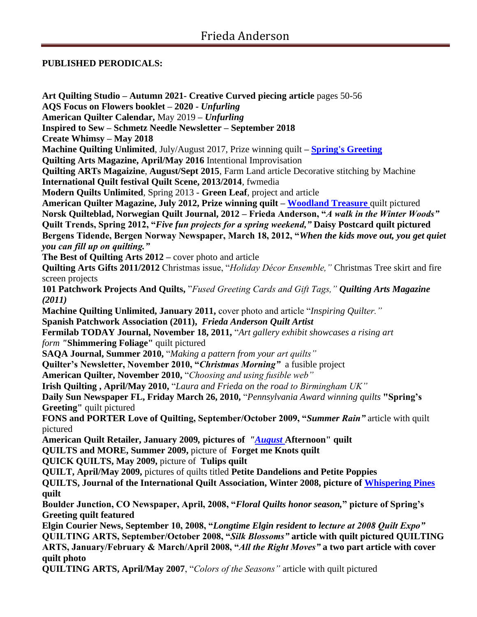# **PUBLISHED PERODICALS:**

**Art Quilting Studio – Autumn 2021- Creative Curved piecing article** pages 50-56 **AQS Focus on Flowers booklet – 2020 -** *Unfurling* **American Quilter Calendar,** May 2019 **–** *Unfurling* **Inspired to Sew – Schmetz Needle Newsletter – September 2018 Create Whimsy – May 2018 Machine Quilting Unlimited**, July/August 2017, Prize winning quilt **– [Spring's Greeting](http://www.friestyle.com/wp-content/uploads/2016/09/fanderson_spring_full.jpg) Quilting Arts Magazine, April/May 2016** Intentional Improvisation **Quilting ARTs Magaizine**, **August/Sept 2015**, Farm Land article Decorative stitching by Machine **International Quilt festival Quilt Scene, 2013/2014**, fwmedia **Modern Quilts Unlimited**, Spring 2013 - **Green Leaf**, project and article **American Quilter Magazine, July 2012, Prize winning quilt – [Woodland Treasure](http://www.friestyle.com/wp-content/uploads/2016/09/woodland.jpg)** quilt pictured **Norsk Quilteblad, Norwegian Quilt Journal, 2012 – Frieda Anderson, "***A walk in the Winter Woods"* **Quilt Trends, Spring 2012, "***Five fun projects for a spring weekend,"* **Daisy Postcard quilt pictured Bergens Tidende, Bergen Norway Newspaper, March 18, 2012, "***When the kids move out, you get quiet you can fill up on quilting."* **The Best of Quilting Arts 2012 –** cover photo and article **Quilting Arts Gifts 2011/2012** Christmas issue, "*Holiday Décor Ensemble,"* Christmas Tree skirt and fire screen projects **101 Patchwork Projects And Quilts,** "*Fused Greeting Cards and Gift Tags," Quilting Arts Magazine (2011)* **Machine Quilting Unlimited, January 2011,** cover photo and article "*Inspiring Quilter."* **Spanish Patchwork Association (2011),** *Frieda Anderson Quilt Artist* **Fermilab TODAY Journal, November 18, 2011,** "*Art gallery exhibit showcases a rising art form "***Shimmering Foliage"** quilt pictured **SAQA Journal, Summer 2010,** "*Making a pattern from your art quilts"* **Quilter's Newsletter, November 2010, "***Christmas Morning"* a fusible project **American Quilter, November 2010,** "*Choosing and using fusible web"* **Irish Quilting , April/May 2010,** "*Laura and Frieda on the road to Birmingham UK"* **Daily Sun Newspaper FL, Friday March 26, 2010,** "*Pennsylvania Award winning quilts* **["Spring's](http://www.friestyle.com/wp-content/uploads/2016/09/fanderson_spring_full.jpg)  [Greeting"](http://www.friestyle.com/wp-content/uploads/2016/09/fanderson_spring_full.jpg)** quilt pictured **FONS and PORTER Love of Quilting, September/October 2009, "***Summer Rain"* article with quilt pictured American Quilt Retailer, January 2009, pictures of "**August** Afternoon" quilt **QUILTS and MORE, Summer 2009,** picture of **Forget me Knots quilt QUICK QUILTS, May 2009,** picture of **Tulips quilt QUILT, April/May 2009,** pictures of quilts titled **Petite Dandelions and Petite Poppies QUILTS, Journal of the International Quilt Association, Winter 2008, picture of [Whispering Pines](http://www.friestyle.com/wp-content/uploads/2016/09/whispering.jpg)  quilt Boulder Junction, CO Newspaper, April, 2008, "***Floral Quilts honor season,***" picture of Spring's Greeting quilt featured Elgin Courier News, September 10, 2008, "***Longtime Elgin resident to lecture at 2008 Quilt Expo"* **QUILTING ARTS, September/October 2008, "***Silk Blossoms"* **article with quilt pictured QUILTING ARTS, January/February & March/April 2008, "***All the Right Moves"* **a two part article with cover quilt photo QUILTING ARTS, April/May 2007**, "*Colors of the Seasons"* article with quilt pictured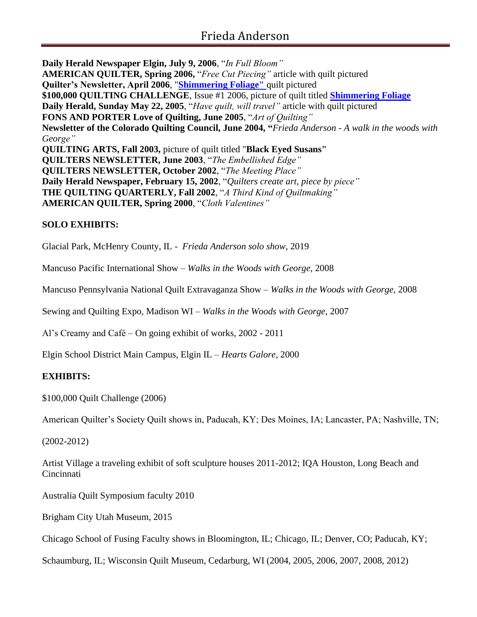**Daily Herald Newspaper Elgin, July 9, 2006**, "*In Full Bloom"* **AMERICAN QUILTER, Spring 2006,** "*Free Cut Piecing"* article with quilt pictured **Quilter's Newsletter, April 2006**, "**[Shimmering Foliage"](http://www.friestyle.com/wp-content/uploads/2016/09/shimmering.jpg)** quilt pictured **\$100,000 QUILTING CHALLENGE**, Issue #1 2006, picture of quilt titled **[Shimmering Foliage](http://www.friestyle.com/wp-content/uploads/2016/09/shimmering.jpg) Daily Herald, Sunday May 22, 2005**, "*Have quilt, will travel"* article with quilt pictured **FONS AND PORTER Love of Quilting, June 2005**, "*Art of Quilting"* **Newsletter of the Colorado Quilting Council, June 2004, "***Frieda Anderson - A walk in the woods with George"* **QUILTING ARTS, Fall 2003,** picture of quilt titled "**Black Eyed Susans" QUILTERS NEWSLETTER, June 2003**, "*The Embellished Edge"* **QUILTERS NEWSLETTER, October 2002**, "*The Meeting Place"* **Daily Herald Newspaper, February 15, 2002**, "*Quilters create art, piece by piece"* **THE QUILTING QUARTERLY, Fall 2002**, "*A Third Kind of Quiltmaking"* **AMERICAN QUILTER, Spring 2000**, "*Cloth Valentines"*

# **SOLO EXHIBITS:**

Glacial Park, McHenry County, IL - *Frieda Anderson solo show*, 2019

Mancuso Pacific International Show – *Walks in the Woods with George,* 2008

Mancuso Pennsylvania National Quilt Extravaganza Show – *Walks in the Woods with George,* 2008

Sewing and Quilting Expo, Madison WI *– Walks in the Woods with George,* 2007

Al's Creamy and Café – On going exhibit of works, 2002 - 2011

Elgin School District Main Campus, Elgin IL – *Hearts Galore*, 2000

# **EXHIBITS:**

\$100,000 Quilt Challenge (2006)

American Quilter's Society Quilt shows in, Paducah, KY; Des Moines, IA; Lancaster, PA; Nashville, TN;

(2002-2012)

Artist Village a traveling exhibit of soft sculpture houses 2011-2012; IQA Houston, Long Beach and Cincinnati

Australia Quilt Symposium faculty 2010

Brigham City Utah Museum, 2015

Chicago School of Fusing Faculty shows in Bloomington, IL; Chicago, IL; Denver, CO; Paducah, KY;

Schaumburg, IL; Wisconsin Quilt Museum, Cedarburg, WI (2004, 2005, 2006, 2007, 2008, 2012)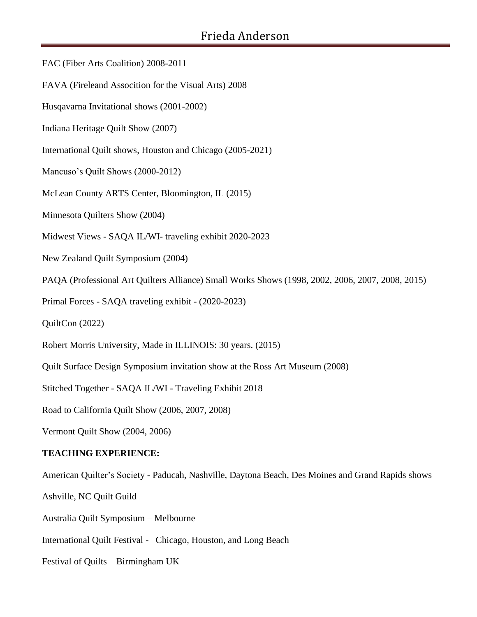- FAC (Fiber Arts Coalition) 2008-2011
- FAVA (Fireleand Assocition for the Visual Arts) 2008
- Husqavarna Invitational shows (2001-2002)
- Indiana Heritage Quilt Show (2007)
- International Quilt shows, Houston and Chicago (2005-2021)
- Mancuso's Quilt Shows (2000-2012)
- McLean County ARTS Center, Bloomington, IL (2015)
- Minnesota Quilters Show (2004)
- Midwest Views SAQA IL/WI- traveling exhibit 2020-2023
- New Zealand Quilt Symposium (2004)
- PAQA (Professional Art Quilters Alliance) Small Works Shows (1998, 2002, 2006, 2007, 2008, 2015)
- Primal Forces SAQA traveling exhibit (2020-2023)
- QuiltCon (2022)
- Robert Morris University, Made in ILLINOIS: 30 years. (2015)
- Quilt Surface Design Symposium invitation show at the Ross Art Museum (2008)
- Stitched Together SAQA IL/WI Traveling Exhibit 2018
- Road to California Quilt Show (2006, 2007, 2008)
- Vermont Quilt Show (2004, 2006)

#### **TEACHING EXPERIENCE:**

American Quilter's Society - Paducah, Nashville, Daytona Beach, Des Moines and Grand Rapids shows

Ashville, NC Quilt Guild

Australia Quilt Symposium – Melbourne

- International Quilt Festival Chicago, Houston, and Long Beach
- Festival of Quilts Birmingham UK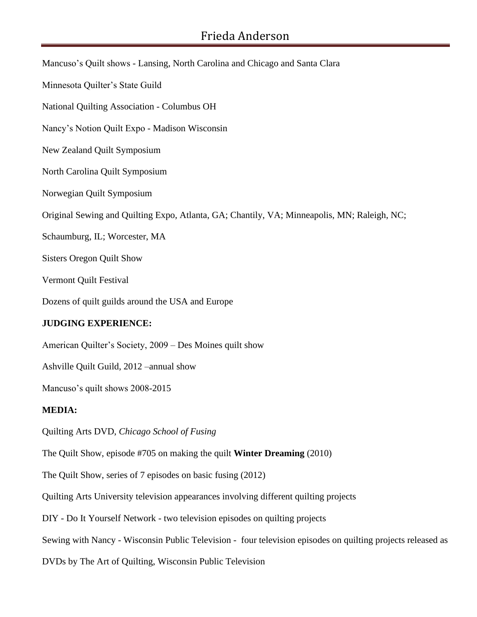Mancuso's Quilt shows - Lansing, North Carolina and Chicago and Santa Clara Minnesota Quilter's State Guild National Quilting Association - Columbus OH Nancy's Notion Quilt Expo - Madison Wisconsin New Zealand Quilt Symposium North Carolina Quilt Symposium Norwegian Quilt Symposium Original Sewing and Quilting Expo, Atlanta, GA; Chantily, VA; Minneapolis, MN; Raleigh, NC; Schaumburg, IL; Worcester, MA Sisters Oregon Quilt Show Vermont Quilt Festival Dozens of quilt guilds around the USA and Europe **JUDGING EXPERIENCE:** American Quilter's Society, 2009 – Des Moines quilt show Ashville Quilt Guild, 2012 –annual show Mancuso's quilt shows 2008-2015 **MEDIA:** Quilting Arts DVD, *Chicago School of Fusing* The Quilt Show, episode #705 on making the quilt **Winter Dreaming** (2010) The Quilt Show, series of 7 episodes on basic fusing (2012) Quilting Arts University television appearances involving different quilting projects DIY - Do It Yourself Network - two television episodes on quilting projects Sewing with Nancy - Wisconsin Public Television - four television episodes on quilting projects released as

DVDs by The Art of Quilting, Wisconsin Public Television